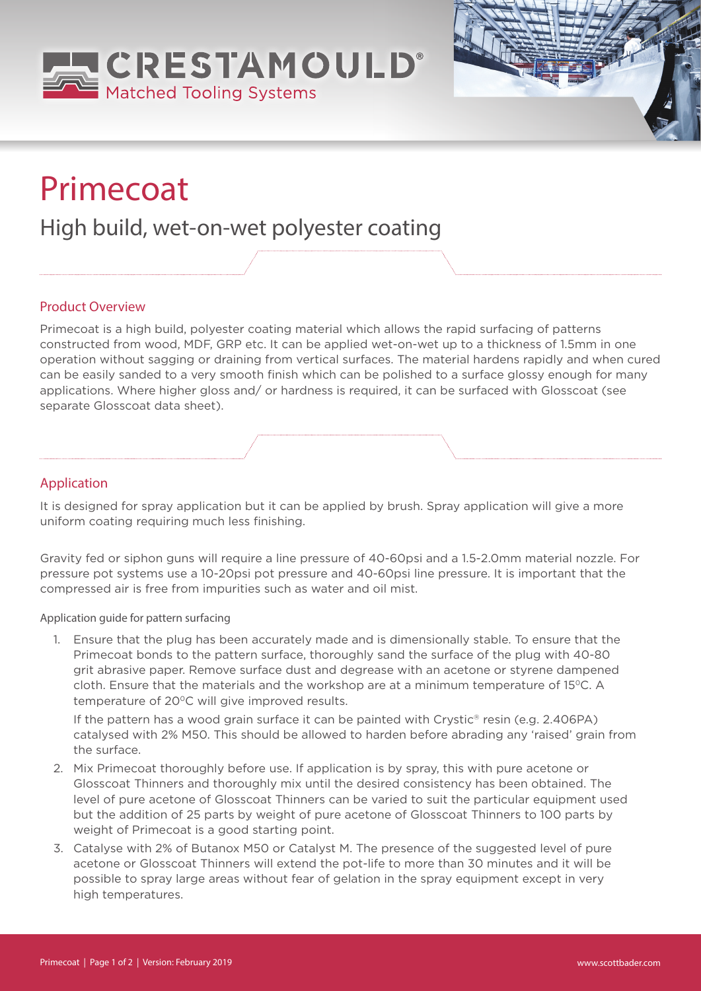



# Primecoat

## High build, wet-on-wet polyester coating

### Product Overview

Primecoat is a high build, polyester coating material which allows the rapid surfacing of patterns constructed from wood, MDF, GRP etc. It can be applied wet-on-wet up to a thickness of 1.5mm in one operation without sagging or draining from vertical surfaces. The material hardens rapidly and when cured can be easily sanded to a very smooth finish which can be polished to a surface glossy enough for many applications. Where higher gloss and/ or hardness is required, it can be surfaced with Glosscoat (see separate Glosscoat data sheet).

### Application

It is designed for spray application but it can be applied by brush. Spray application will give a more uniform coating requiring much less finishing.

Gravity fed or siphon guns will require a line pressure of 40-60psi and a 1.5-2.0mm material nozzle. For pressure pot systems use a 10-20psi pot pressure and 40-60psi line pressure. It is important that the compressed air is free from impurities such as water and oil mist.

Application guide for pattern surfacing

1. Ensure that the plug has been accurately made and is dimensionally stable. To ensure that the Primecoat bonds to the pattern surface, thoroughly sand the surface of the plug with 40-80 grit abrasive paper. Remove surface dust and degrease with an acetone or styrene dampened cloth. Ensure that the materials and the workshop are at a minimum temperature of 15°C. A temperature of 20°C will give improved results.

If the pattern has a wood grain surface it can be painted with Crystic<sup>®</sup> resin (e.g. 2.406PA) catalysed with 2% M50. This should be allowed to harden before abrading any 'raised' grain from the surface.

- 2. Mix Primecoat thoroughly before use. If application is by spray, this with pure acetone or Glosscoat Thinners and thoroughly mix until the desired consistency has been obtained. The level of pure acetone of Glosscoat Thinners can be varied to suit the particular equipment used but the addition of 25 parts by weight of pure acetone of Glosscoat Thinners to 100 parts by weight of Primecoat is a good starting point.
- 3. Catalyse with 2% of Butanox M50 or Catalyst M. The presence of the suggested level of pure acetone or Glosscoat Thinners will extend the pot-life to more than 30 minutes and it will be possible to spray large areas without fear of gelation in the spray equipment except in very high temperatures.